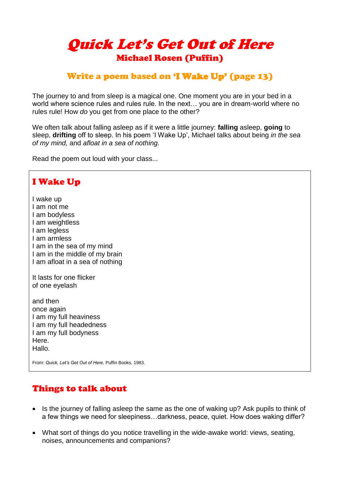# Quick Let's Get Out of Here Michael Rosen (Puffin)

## Write a poem based on 'I Wake Up' (page 13)

The journey to and from sleep is a magical one. One moment you are in your bed in a world where science rules and rules rule. In the next… you are in dream-world where no rules rule! How *do* you get from one place to the other?

We often talk about falling asleep as if it were a little journey: **falling** asleep, **going** to sleep, **drifting** off to sleep. In his poem 'I Wake Up', Michael talks about being *in the sea of my mind,* and *afloat in a sea of nothing.*

Read the poem out loud with your class...

#### I Wake Up I wake up I am not me I am bodyless I am weightless I am legless I am armless I am in the sea of my mind I am in the middle of my brain I am afloat in a sea of nothing It lasts for one flicker of one eyelash and then once again I am my full heaviness I am my full headedness I am my full bodyness Here. Hallo. From: *Quick, Let's Get Out of Here*, Puffin Books, 1983.

## Things to talk about

- Is the journey of falling asleep the same as the one of waking up? Ask pupils to think of a few things we need for sleepiness…darkness, peace, quiet. How does waking differ?
- What sort of things do you notice travelling in the wide-awake world: views, seating, noises, announcements and companions?